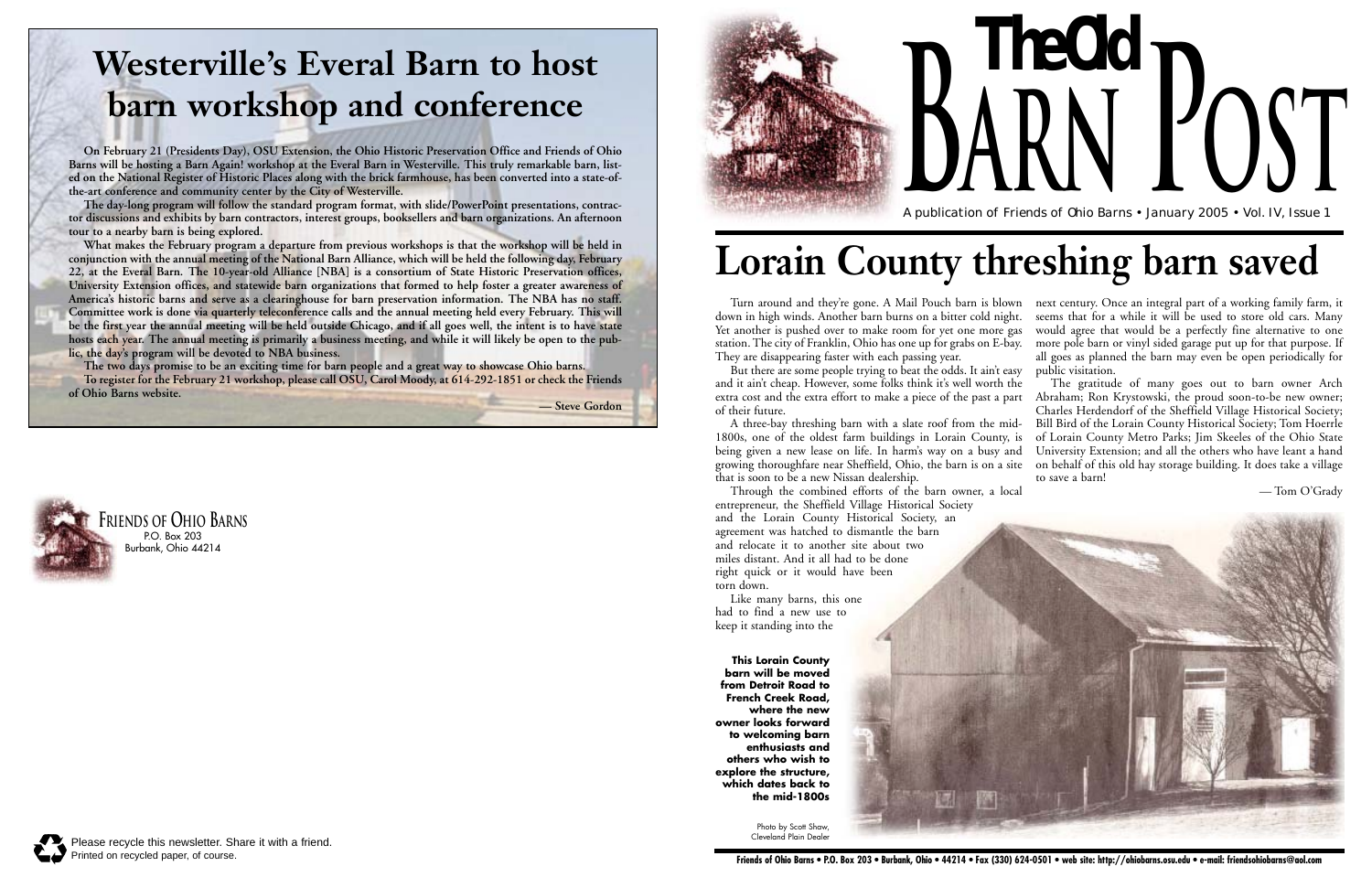**The Old**



A publication of Friends of Ohio Barns • January 2005 • Vol. IV, Issue 1

**arn Post**



# **Lorain County threshing barn saved**

down in high winds. Another barn burns on a bitter cold night. Yet another is pushed over to make room for yet one more gas station. The city of Franklin, Ohio has one up for grabs on E-bay. They are disappearing faster with each passing year.

But there are some people trying to beat the odds. It ain't easy and it ain't cheap. However, some folks think it's well worth the of their future.

Turn around and they're gone. A Mail Pouch barn is blown next century. Once an integral part of a working family farm, it seems that for a while it will be used to store old cars. Many would agree that would be a perfectly fine alternative to one more pole barn or vinyl sided garage put up for that purpose. If all goes as planned the barn may even be open periodically for public visitation.

Through the combined efforts of the barn owner, a local entrepreneur, the Sheffield Village Historical Society and the Lorain County Historical Society, an agreement was hatched to dismantle the barn and relocate it to another site about two miles distant. And it all had to be done right quick or it would have been torn down.

Like many barns, this one had to find a new use to keep it standing into the

extra cost and the extra effort to make a piece of the past a part A three-bay threshing barn with a slate roof from the mid-1800s, one of the oldest farm buildings in Lorain County, is being given a new lease on life. In harm's way on a busy and growing thoroughfare near Sheffield, Ohio, the barn is on a site that is soon to be a new Nissan dealership. The gratitude of many goes out to barn owner Arch Abraham; Ron Krystowski, the proud soon-to-be new owner; Charles Herdendorf of the Sheffield Village Historical Society; Bill Bird of the Lorain County Historical Society; Tom Hoerrle of Lorain County Metro Parks; Jim Skeeles of the Ohio State University Extension; and all the others who have leant a hand on behalf of this old hay storage building. It does take a village to save a barn!

— Tom O'Grady

**This Lorain County barn will be moved from Detroit Road to French Creek Road, where the new owner looks forward to welcoming barn enthusiasts and others who wish to explore the structure, which dates back to the mid-1800s**



Photo by Scott Shaw, Cleveland Plain Dealer

## **Westerville's Everal Barn to host barn workshop and conference**

**On February 21 (Presidents Day), OSU Extension, the Ohio Historic Preservation Office and Friends of Ohio Barns will be hosting a Barn Again! workshop at the Everal Barn in Westerville. This truly remarkable barn, listed on the National Register of Historic Places along with the brick farmhouse, has been converted into a state-ofthe-art conference and community center by the City of Westerville.** 

**The day-long program will follow the standard program format, with slide/PowerPoint presentations, contractor discussions and exhibits by barn contractors, interest groups, booksellers and barn organizations. An afternoon tour to a nearby barn is being explored.**

**What makes the February program a departure from previous workshops is that the workshop will be held in conjunction with the annual meeting of the National Barn Alliance, which will be held the following day, February 22, at the Everal Barn. The 10-year-old Alliance [NBA] is a consortium of State Historic Preservation offices, University Extension offices, and statewide barn organizations that formed to help foster a greater awareness of America's historic barns and serve as a clearinghouse for barn preservation information. The NBA has no staff. Committee work is done via quarterly teleconference calls and the annual meeting held every February. This will be the first year the annual meeting will be held outside Chicago, and if all goes well, the intent is to have state hosts each year. The annual meeting is primarily a business meeting, and while it will likely be open to the public, the day's program will be devoted to NBA business.** 

**The two days promise to be an exciting time for barn people and a great way to showcase Ohio barns. To register for the February 21 workshop, please call OSU, Carol Moody, at 614-292-1851 or check the Friends**

**of Ohio Barns website.**

**— Steve Gordon**